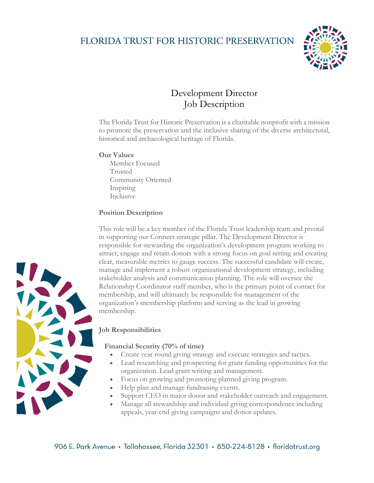## FLORIDA TRUST FOR HISTORIC PRESERVATION



## Development Director Job Description

The Florida Trust for Historic Preservation is a charitable nonprofit with a mission to promote the preservation and the inclusive sharing of the diverse architectural, historical and archaeological heritage of Florida.

### **Our Values**

Member Focused Trusted Community Oriented Inspiring Inclusive

### **Position Description**

This role will be a key member of the Florida Trust leadership team and pivotal in supporting our Connect strategic pillar. The Development Director is responsible for stewarding the organization's development program working to attract, engage and retain donors with a strong focus on goal setting and creating clear, measurable metrics to gauge success. The successful candidate will create, manage and implement a robust organizational development strategy, including stakeholder analysis and communication planning. The role will oversee the Relationship Coordinator staff member, who is the primary point of contact for membership, and will ultimately be responsible for management of the organization's membership platform and serving as the lead in growing membership.

### **Job Responsibilities**

### **Financial Security (70% of time)**

- Create year round giving strategy and execute strategies and tactics.
- Lead researching and prospecting for grant funding opportunities for the organization. Lead grant writing and management.
- Focus on growing and promoting planned giving program.
- Help plan and manage fundraising events.
- Support CEO in major donor and stakeholder outreach and engagement.
- Manage all stewardship and individual giving correspondence including appeals, year-end giving campaigns and donor updates.

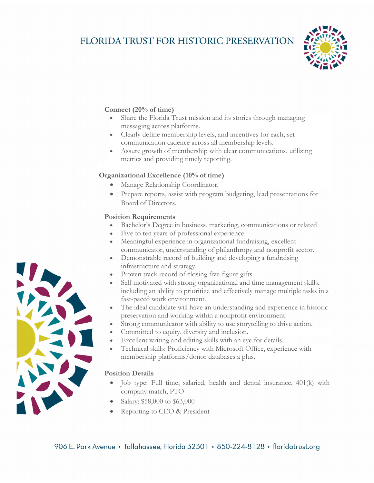# FLORIDA TRUST FOR HISTORIC PRESERVATION



### **Connect (20% of time)**

- Share the Florida Trust mission and its stories through managing messaging across platforms.
- Clearly define membership levels, and incentives for each, set communication cadence across all membership levels.
- Assure growth of membership with clear communications, utilizing metrics and providing timely reporting.

### **Organizational Excellence (10% of time)**

- Manage Relationship Coordinator.
- Prepare reports, assist with program budgeting, lead presentations for Board of Directors.

### **Position Requirements**

- Bachelor's Degree in business, marketing, communications or related
- Five to ten years of professional experience.
- Meaningful experience in organizational fundraising, excellent communicator, understanding of philanthropy and nonprofit sector.
- Demonstrable record of building and developing a fundraising infrastructure and strategy.
- Proven track record of closing five-figure gifts.
- Self motivated with strong organizational and time management skills, including an ability to prioritize and effectively manage multiple tasks in a fast-paced work environment.
- The ideal candidate will have an understanding and experience in historic preservation and working within a nonprofit environment.
- Strong communicator with ability to use storytelling to drive action.
- Committed to equity, diversity and inclusion.
- Excellent writing and editing skills with an eye for details.
- Technical skills: Proficiency with Microsoft Office, experience with membership platforms/donor databases a plus.
- Job type: Full time, salaried, health and dental insurance, 401(k) with company match, PTO
- Salary: \$58,000 to \$63,000
- Reporting to CEO & President